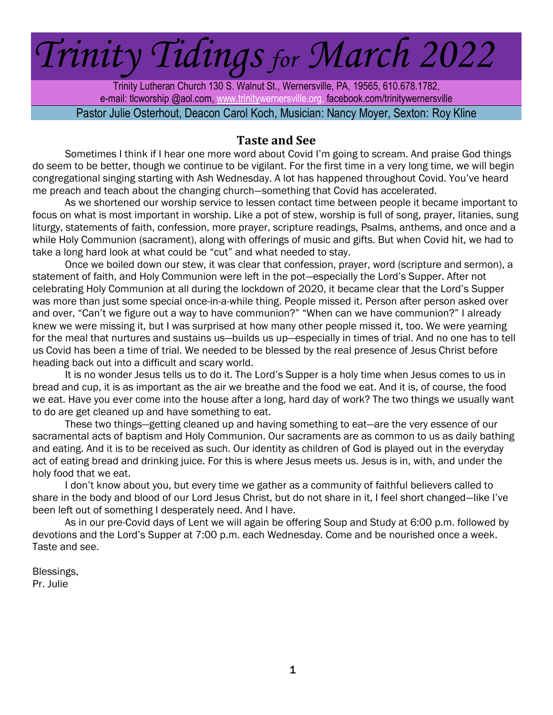# *Trinity Tidings for March 2022*

Trinity Lutheran Church 130 S. Walnut St., Wernersville, PA, 19565, 610.678.1782, e-mail: tlcworship @aol.com[, www.trinityw](http://www.trinity/)ernersville.org, facebook.com/trinitywernersville Pastor Julie Osterhout, Deacon Carol Koch, Musician: Nancy Moyer, Sexton: Roy Kline

#### **Taste and See**

Sometimes I think if I hear one more word about Covid I'm going to scream. And praise God things do seem to be better, though we continue to be vigilant. For the first time in a very long time, we will begin congregational singing starting with Ash Wednesday. A lot has happened throughout Covid. You've heard me preach and teach about the changing church—something that Covid has accelerated.

As we shortened our worship service to lessen contact time between people it became important to focus on what is most important in worship. Like a pot of stew, worship is full of song, prayer, litanies, sung liturgy, statements of faith, confession, more prayer, scripture readings, Psalms, anthems, and once and a while Holy Communion (sacrament), along with offerings of music and gifts. But when Covid hit, we had to take a long hard look at what could be "cut" and what needed to stay.

Once we boiled down our stew, it was clear that confession, prayer, word (scripture and sermon), a statement of faith, and Holy Communion were left in the pot—especially the Lord's Supper. After not celebrating Holy Communion at all during the lockdown of 2020, it became clear that the Lord's Supper was more than just some special once-in-a-while thing. People missed it. Person after person asked over and over, "Can't we figure out a way to have communion?" "When can we have communion?" I already knew we were missing it, but I was surprised at how many other people missed it, too. We were yearning for the meal that nurtures and sustains us—builds us up—especially in times of trial. And no one has to tell us Covid has been a time of trial. We needed to be blessed by the real presence of Jesus Christ before heading back out into a difficult and scary world.

It is no wonder Jesus tells us to do it. The Lord's Supper is a holy time when Jesus comes to us in bread and cup, it is as important as the air we breathe and the food we eat. And it is, of course, the food we eat. Have you ever come into the house after a long, hard day of work? The two things we usually want to do are get cleaned up and have something to eat.

These two things—getting cleaned up and having something to eat—are the very essence of our sacramental acts of baptism and Holy Communion. Our sacraments are as common to us as daily bathing and eating. And it is to be received as such. Our identity as children of God is played out in the everyday act of eating bread and drinking juice. For this is where Jesus meets us. Jesus is in, with, and under the holy food that we eat.

I don't know about you, but every time we gather as a community of faithful believers called to share in the body and blood of our Lord Jesus Christ, but do not share in it, I feel short changed—like I've been left out of something I desperately need. And I have.

As in our pre-Covid days of Lent we will again be offering Soup and Study at 6:00 p.m. followed by devotions and the Lord's Supper at 7:00 p.m. each Wednesday. Come and be nourished once a week. Taste and see.

Blessings, Pr. Julie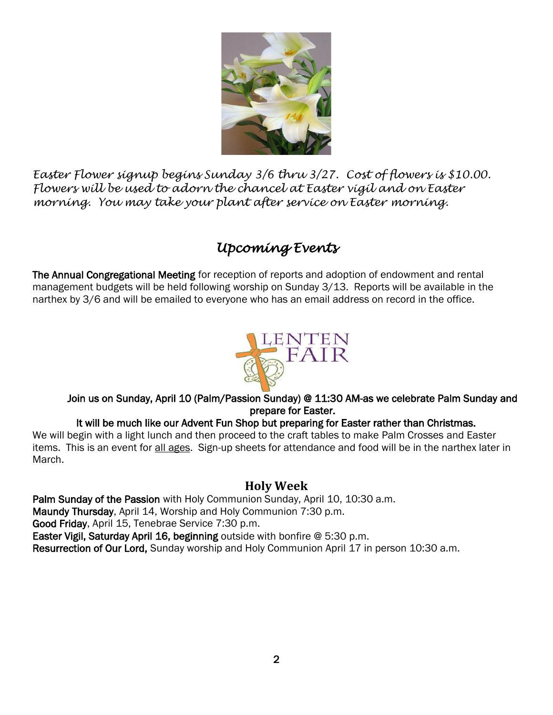

*Easter Flower signup begins Sunday 3/6 thru 3/27. Cost of flowers is \$10.00. Flowers will be used to adorn the chancel at Easter vigil and on Easter morning. You may take your plant after service on Easter morning.*

# *Upcoming Events*

The Annual Congregational Meeting for reception of reports and adoption of endowment and rental management budgets will be held following worship on Sunday 3/13. Reports will be available in the narthex by 3/6 and will be emailed to everyone who has an email address on record in the office.



#### Join us on Sunday, April 10 (Palm/Passion Sunday) @ 11:30 AM-as we celebrate Palm Sunday and prepare for Easter.

#### It will be much like our Advent Fun Shop but preparing for Easter rather than Christmas.

We will begin with a light lunch and then proceed to the craft tables to make Palm Crosses and Easter items. This is an event for all ages. Sign-up sheets for attendance and food will be in the narthex later in March.

### **Holy Week**

Palm Sunday of the Passion with Holy Communion Sunday, April 10, 10:30 a.m. Maundy Thursday, April 14, Worship and Holy Communion 7:30 p.m. Good Friday, April 15, Tenebrae Service 7:30 p.m. Easter Vigil, Saturday April 16, beginning outside with bonfire @ 5:30 p.m. Resurrection of Our Lord, Sunday worship and Holy Communion April 17 in person 10:30 a.m.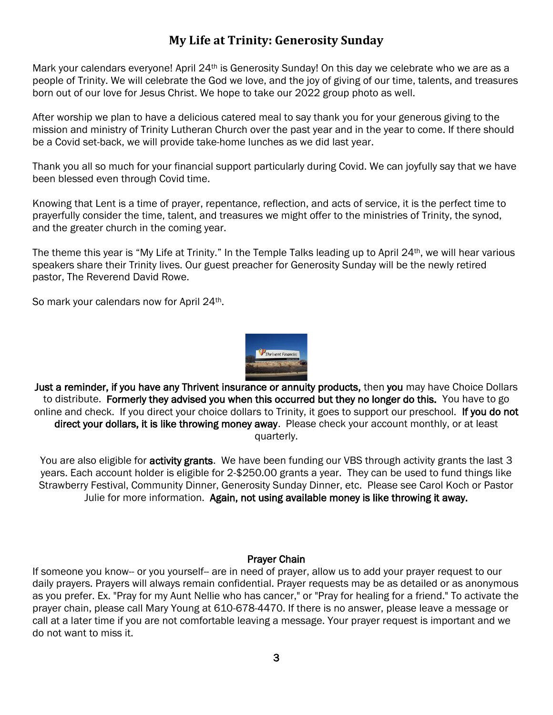## **My Life at Trinity: Generosity Sunday**

Mark your calendars everyone! April 24<sup>th</sup> is Generosity Sunday! On this day we celebrate who we are as a people of Trinity. We will celebrate the God we love, and the joy of giving of our time, talents, and treasures born out of our love for Jesus Christ. We hope to take our 2022 group photo as well.

After worship we plan to have a delicious catered meal to say thank you for your generous giving to the mission and ministry of Trinity Lutheran Church over the past year and in the year to come. If there should be a Covid set-back, we will provide take-home lunches as we did last year.

Thank you all so much for your financial support particularly during Covid. We can joyfully say that we have been blessed even through Covid time.

Knowing that Lent is a time of prayer, repentance, reflection, and acts of service, it is the perfect time to prayerfully consider the time, talent, and treasures we might offer to the ministries of Trinity, the synod, and the greater church in the coming year.

The theme this year is "My Life at Trinity." In the Temple Talks leading up to April 24th, we will hear various speakers share their Trinity lives. Our guest preacher for Generosity Sunday will be the newly retired pastor, The Reverend David Rowe.

So mark your calendars now for April 24<sup>th</sup>.



Just a reminder, if you have any Thrivent insurance or annuity products, then you may have Choice Dollars to distribute. Formerly they advised you when this occurred but they no longer do this. You have to go online and check. If you direct your choice dollars to Trinity, it goes to support our preschool. If you do not direct your dollars, it is like throwing money away. Please check your account monthly, or at least quarterly.

You are also eligible for activity grants. We have been funding our VBS through activity grants the last 3 years. Each account holder is eligible for 2-\$250.00 grants a year. They can be used to fund things like Strawberry Festival, Community Dinner, Generosity Sunday Dinner, etc. Please see Carol Koch or Pastor Julie for more information. Again, not using available money is like throwing it away.

#### Prayer Chain

If someone you know-- or you yourself-- are in need of prayer, allow us to add your prayer request to our daily prayers. Prayers will always remain confidential. Prayer requests may be as detailed or as anonymous as you prefer. Ex. "Pray for my Aunt Nellie who has cancer," or "Pray for healing for a friend." To activate the prayer chain, please call Mary Young at 610-678-4470. If there is no answer, please leave a message or call at a later time if you are not comfortable leaving a message. Your prayer request is important and we do not want to miss it.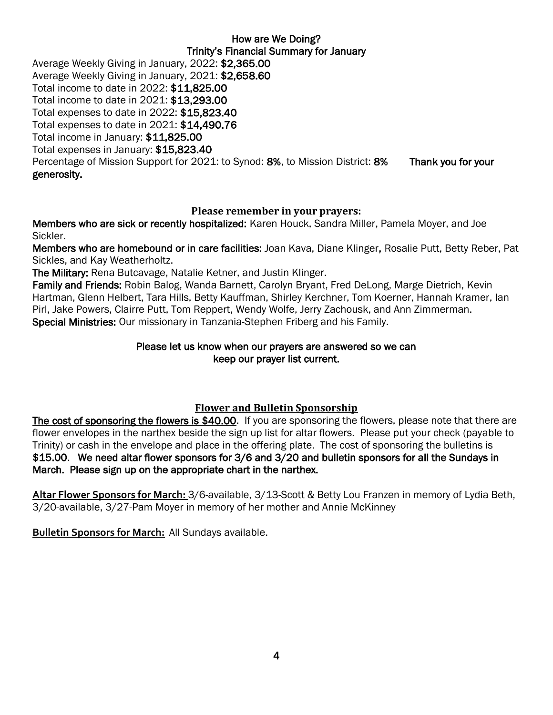How are We Doing? Trinity's Financial Summary for January Average Weekly Giving in January, 2022: \$2,365.00 Average Weekly Giving in January, 2021: \$2,658.60 Total income to date in 2022: \$11,825.00 Total income to date in 2021: \$13,293.00 Total expenses to date in 2022: \$15,823.40 Total expenses to date in 2021: \$14,490.76 Total income in January: \$11,825.00 Total expenses in January: \$15,823.40 Percentage of Mission Support for 2021: to Synod: 8%, to Mission District: 8% Thank you for your generosity.

#### **Please remember in your prayers:**

Members who are sick or recently hospitalized: Karen Houck, Sandra Miller, Pamela Moyer, and Joe Sickler.

Members who are homebound or in care facilities: Joan Kava, Diane Klinger, Rosalie Putt, Betty Reber, Pat Sickles, and Kay Weatherholtz.

The Military: Rena Butcavage, Natalie Ketner, and Justin Klinger.

Family and Friends: Robin Balog, Wanda Barnett, Carolyn Bryant, Fred DeLong, Marge Dietrich, Kevin Hartman, Glenn Helbert, Tara Hills, Betty Kauffman, Shirley Kerchner, Tom Koerner, Hannah Kramer, Ian Pirl, Jake Powers, Clairre Putt, Tom Reppert, Wendy Wolfe, Jerry Zachousk, and Ann Zimmerman. Special Ministries: Our missionary in Tanzania-Stephen Friberg and his Family.

#### Please let us know when our prayers are answered so we can keep our prayer list current.

#### **Flower and Bulletin Sponsorship**

The cost of sponsoring the flowers is \$40.00. If you are sponsoring the flowers, please note that there are flower envelopes in the narthex beside the sign up list for altar flowers. Please put your check (payable to Trinity) or cash in the envelope and place in the offering plate. The cost of sponsoring the bulletins is \$15.00. We need altar flower sponsors for 3/6 and 3/20 and bulletin sponsors for all the Sundays in March. Please sign up on the appropriate chart in the narthex.

**Altar Flower Sponsors for March:** 3/6-available, 3/13-Scott & Betty Lou Franzen in memory of Lydia Beth, 3/20-available, 3/27-Pam Moyer in memory of her mother and Annie McKinney

**Bulletin Sponsors for March:** All Sundays available.